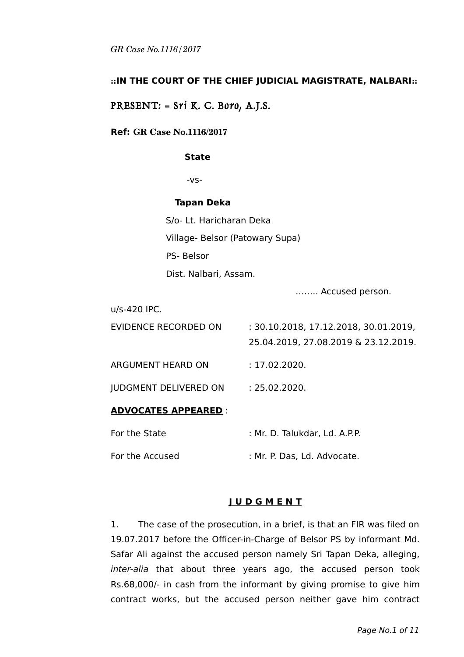## **::IN THE COURT OF THE CHIEF JUDICIAL MAGISTRATE, NALBARI::**

# PRESENT: = Sri K. C. Boro, A.J.S.

#### **Ref: GR Case No.1116/2017**

#### **State**

-vs-

#### **Tapan Deka**

S/o- Lt. Haricharan Deka Village- Belsor (Patowary Supa) PS- Belsor Dist. Nalbari, Assam.

…….. Accused person.

| <b>ADVOCATES APPEARED:</b>   |                                                                               |
|------------------------------|-------------------------------------------------------------------------------|
| <b>JUDGMENT DELIVERED ON</b> | : 25.02.2020.                                                                 |
| ARGUMENT HEARD ON            | : 17.02.2020.                                                                 |
| EVIDENCE RECORDED ON         | : 30.10.2018, 17.12.2018, 30.01.2019,<br>25.04.2019, 27.08.2019 & 23.12.2019. |
| u/s-420 IPC.                 |                                                                               |

For the State : Mr. D. Talukdar, Ld. A.P.P.

For the Accused : Mr. P. Das, Ld. Advocate.

## **J U D G M E N T**

1. The case of the prosecution, in a brief, is that an FIR was filed on 19.07.2017 before the Officer-in-Charge of Belsor PS by informant Md. Safar Ali against the accused person namely Sri Tapan Deka, alleging, inter-alia that about three years ago, the accused person took Rs.68,000/- in cash from the informant by giving promise to give him contract works, but the accused person neither gave him contract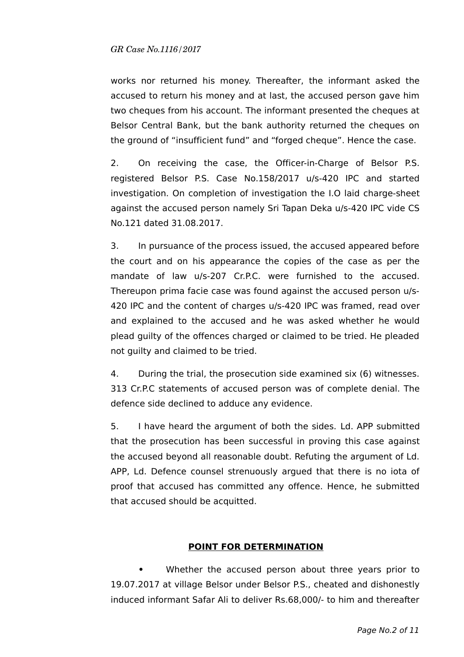works nor returned his money. Thereafter, the informant asked the accused to return his money and at last, the accused person gave him two cheques from his account. The informant presented the cheques at Belsor Central Bank, but the bank authority returned the cheques on the ground of "insufficient fund" and "forged cheque". Hence the case.

2. On receiving the case, the Officer-in-Charge of Belsor P.S. registered Belsor P.S. Case No.158/2017 u/s-420 IPC and started investigation. On completion of investigation the I.O laid charge-sheet against the accused person namely Sri Tapan Deka u/s-420 IPC vide CS No.121 dated 31.08.2017.

3. In pursuance of the process issued, the accused appeared before the court and on his appearance the copies of the case as per the mandate of law u/s-207 Cr.P.C. were furnished to the accused. Thereupon prima facie case was found against the accused person u/s-420 IPC and the content of charges u/s-420 IPC was framed, read over and explained to the accused and he was asked whether he would plead guilty of the offences charged or claimed to be tried. He pleaded not guilty and claimed to be tried.

4. During the trial, the prosecution side examined six (6) witnesses. 313 Cr.P.C statements of accused person was of complete denial. The defence side declined to adduce any evidence.

5. I have heard the argument of both the sides. Ld. APP submitted that the prosecution has been successful in proving this case against the accused beyond all reasonable doubt. Refuting the argument of Ld. APP, Ld. Defence counsel strenuously argued that there is no iota of proof that accused has committed any offence. Hence, he submitted that accused should be acquitted.

## **POINT FOR DETERMINATION**

**•** Whether the accused person about three years prior to 19.07.2017 at village Belsor under Belsor P.S., cheated and dishonestly induced informant Safar Ali to deliver Rs.68,000/- to him and thereafter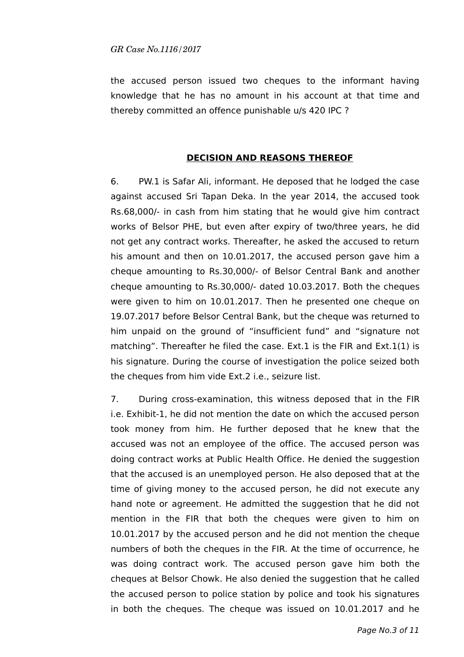the accused person issued two cheques to the informant having knowledge that he has no amount in his account at that time and thereby committed an offence punishable u/s 420 IPC ?

#### **DECISION AND REASONS THEREOF**

6. PW.1 is Safar Ali, informant. He deposed that he lodged the case against accused Sri Tapan Deka. In the year 2014, the accused took Rs.68,000/- in cash from him stating that he would give him contract works of Belsor PHE, but even after expiry of two/three years, he did not get any contract works. Thereafter, he asked the accused to return his amount and then on 10.01.2017, the accused person gave him a cheque amounting to Rs.30,000/- of Belsor Central Bank and another cheque amounting to Rs.30,000/- dated 10.03.2017. Both the cheques were given to him on 10.01.2017. Then he presented one cheque on 19.07.2017 before Belsor Central Bank, but the cheque was returned to him unpaid on the ground of "insufficient fund" and "signature not matching". Thereafter he filed the case. Ext.1 is the FIR and Ext.1(1) is his signature. During the course of investigation the police seized both the cheques from him vide Ext.2 i.e., seizure list.

7. During cross-examination, this witness deposed that in the FIR i.e. Exhibit-1, he did not mention the date on which the accused person took money from him. He further deposed that he knew that the accused was not an employee of the office. The accused person was doing contract works at Public Health Office. He denied the suggestion that the accused is an unemployed person. He also deposed that at the time of giving money to the accused person, he did not execute any hand note or agreement. He admitted the suggestion that he did not mention in the FIR that both the cheques were given to him on 10.01.2017 by the accused person and he did not mention the cheque numbers of both the cheques in the FIR. At the time of occurrence, he was doing contract work. The accused person gave him both the cheques at Belsor Chowk. He also denied the suggestion that he called the accused person to police station by police and took his signatures in both the cheques. The cheque was issued on 10.01.2017 and he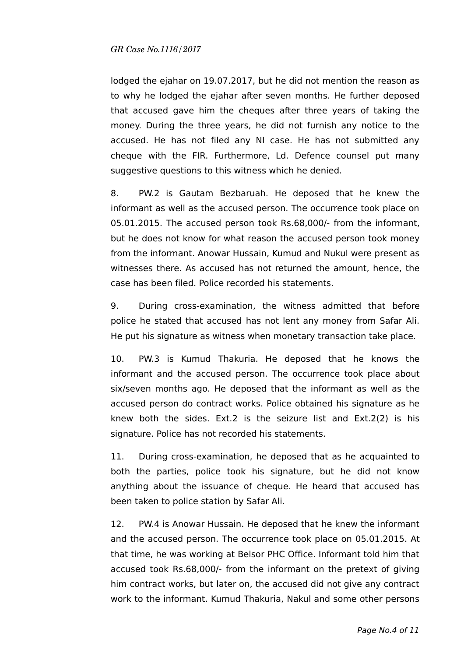lodged the ejahar on 19.07.2017, but he did not mention the reason as to why he lodged the ejahar after seven months. He further deposed that accused gave him the cheques after three years of taking the money. During the three years, he did not furnish any notice to the accused. He has not filed any NI case. He has not submitted any cheque with the FIR. Furthermore, Ld. Defence counsel put many suggestive questions to this witness which he denied.

8. PW.2 is Gautam Bezbaruah. He deposed that he knew the informant as well as the accused person. The occurrence took place on 05.01.2015. The accused person took Rs.68,000/- from the informant, but he does not know for what reason the accused person took money from the informant. Anowar Hussain, Kumud and Nukul were present as witnesses there. As accused has not returned the amount, hence, the case has been filed. Police recorded his statements.

9. During cross-examination, the witness admitted that before police he stated that accused has not lent any money from Safar Ali. He put his signature as witness when monetary transaction take place.

10. PW.3 is Kumud Thakuria. He deposed that he knows the informant and the accused person. The occurrence took place about six/seven months ago. He deposed that the informant as well as the accused person do contract works. Police obtained his signature as he knew both the sides. Ext.2 is the seizure list and Ext.2(2) is his signature. Police has not recorded his statements.

11. During cross-examination, he deposed that as he acquainted to both the parties, police took his signature, but he did not know anything about the issuance of cheque. He heard that accused has been taken to police station by Safar Ali.

12. PW.4 is Anowar Hussain. He deposed that he knew the informant and the accused person. The occurrence took place on 05.01.2015. At that time, he was working at Belsor PHC Office. Informant told him that accused took Rs.68,000/- from the informant on the pretext of giving him contract works, but later on, the accused did not give any contract work to the informant. Kumud Thakuria, Nakul and some other persons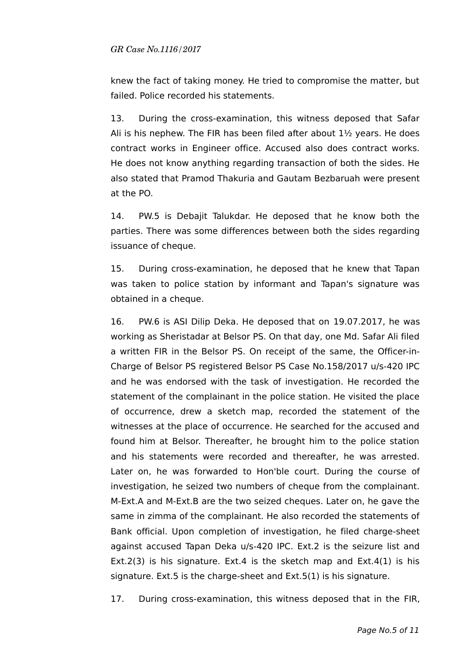knew the fact of taking money. He tried to compromise the matter, but failed. Police recorded his statements.

13. During the cross-examination, this witness deposed that Safar Ali is his nephew. The FIR has been filed after about  $1\frac{1}{2}$  years. He does contract works in Engineer office. Accused also does contract works. He does not know anything regarding transaction of both the sides. He also stated that Pramod Thakuria and Gautam Bezbaruah were present at the PO.

14. PW.5 is Debajit Talukdar. He deposed that he know both the parties. There was some differences between both the sides regarding issuance of cheque.

15. During cross-examination, he deposed that he knew that Tapan was taken to police station by informant and Tapan's signature was obtained in a cheque.

16. PW.6 is ASI Dilip Deka. He deposed that on 19.07.2017, he was working as Sheristadar at Belsor PS. On that day, one Md. Safar Ali filed a written FIR in the Belsor PS. On receipt of the same, the Officer-in-Charge of Belsor PS registered Belsor PS Case No.158/2017 u/s-420 IPC and he was endorsed with the task of investigation. He recorded the statement of the complainant in the police station. He visited the place of occurrence, drew a sketch map, recorded the statement of the witnesses at the place of occurrence. He searched for the accused and found him at Belsor. Thereafter, he brought him to the police station and his statements were recorded and thereafter, he was arrested. Later on, he was forwarded to Hon'ble court. During the course of investigation, he seized two numbers of cheque from the complainant. M-Ext.A and M-Ext.B are the two seized cheques. Later on, he gave the same in zimma of the complainant. He also recorded the statements of Bank official. Upon completion of investigation, he filed charge-sheet against accused Tapan Deka u/s-420 IPC. Ext.2 is the seizure list and Ext.2(3) is his signature. Ext.4 is the sketch map and Ext.4(1) is his signature. Ext.5 is the charge-sheet and Ext.5(1) is his signature.

17. During cross-examination, this witness deposed that in the FIR,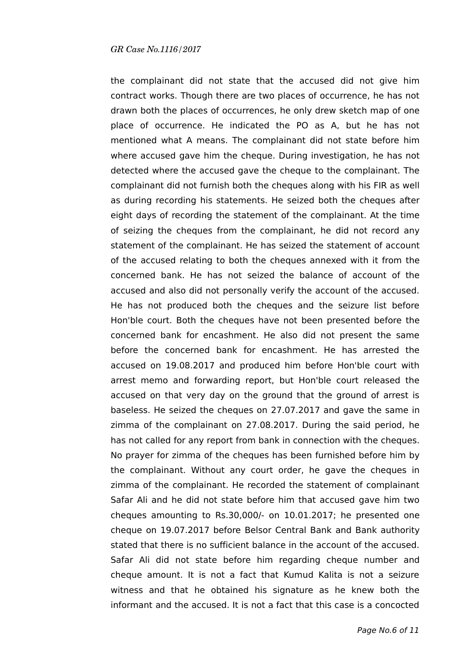the complainant did not state that the accused did not give him contract works. Though there are two places of occurrence, he has not drawn both the places of occurrences, he only drew sketch map of one place of occurrence. He indicated the PO as A, but he has not mentioned what A means. The complainant did not state before him where accused gave him the cheque. During investigation, he has not detected where the accused gave the cheque to the complainant. The complainant did not furnish both the cheques along with his FIR as well as during recording his statements. He seized both the cheques after eight days of recording the statement of the complainant. At the time of seizing the cheques from the complainant, he did not record any statement of the complainant. He has seized the statement of account of the accused relating to both the cheques annexed with it from the concerned bank. He has not seized the balance of account of the accused and also did not personally verify the account of the accused. He has not produced both the cheques and the seizure list before Hon'ble court. Both the cheques have not been presented before the concerned bank for encashment. He also did not present the same before the concerned bank for encashment. He has arrested the accused on 19.08.2017 and produced him before Hon'ble court with arrest memo and forwarding report, but Hon'ble court released the accused on that very day on the ground that the ground of arrest is baseless. He seized the cheques on 27.07.2017 and gave the same in zimma of the complainant on 27.08.2017. During the said period, he has not called for any report from bank in connection with the cheques. No prayer for zimma of the cheques has been furnished before him by the complainant. Without any court order, he gave the cheques in zimma of the complainant. He recorded the statement of complainant Safar Ali and he did not state before him that accused gave him two cheques amounting to Rs.30,000/- on 10.01.2017; he presented one cheque on 19.07.2017 before Belsor Central Bank and Bank authority stated that there is no sufficient balance in the account of the accused. Safar Ali did not state before him regarding cheque number and cheque amount. It is not a fact that Kumud Kalita is not a seizure witness and that he obtained his signature as he knew both the informant and the accused. It is not a fact that this case is a concocted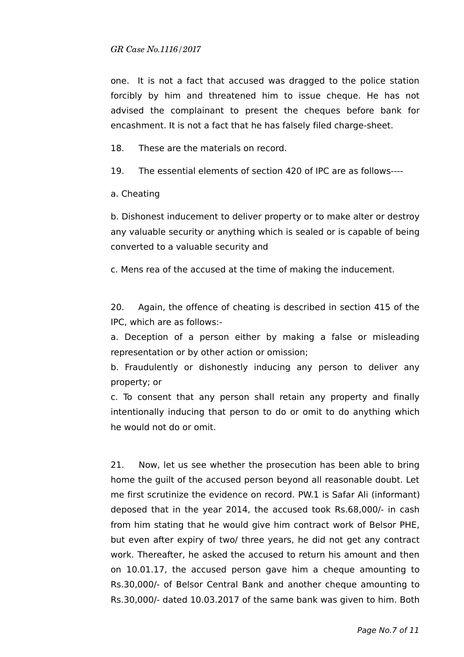one. It is not a fact that accused was dragged to the police station forcibly by him and threatened him to issue cheque. He has not advised the complainant to present the cheques before bank for encashment. It is not a fact that he has falsely filed charge-sheet.

18. These are the materials on record.

19. The essential elements of section 420 of IPC are as follows----

a. Cheating

b. Dishonest inducement to deliver property or to make alter or destroy any valuable security or anything which is sealed or is capable of being converted to a valuable security and

c. Mens rea of the accused at the time of making the inducement.

20. Again, the offence of cheating is described in section 415 of the IPC, which are as follows:-

a. Deception of a person either by making a false or misleading representation or by other action or omission;

b. Fraudulently or dishonestly inducing any person to deliver any property; or

c. To consent that any person shall retain any property and finally intentionally inducing that person to do or omit to do anything which he would not do or omit.

21. Now, let us see whether the prosecution has been able to bring home the guilt of the accused person beyond all reasonable doubt. Let me first scrutinize the evidence on record. PW.1 is Safar Ali (informant) deposed that in the year 2014, the accused took Rs.68,000/- in cash from him stating that he would give him contract work of Belsor PHE, but even after expiry of two/ three years, he did not get any contract work. Thereafter, he asked the accused to return his amount and then on 10.01.17, the accused person gave him a cheque amounting to Rs.30,000/- of Belsor Central Bank and another cheque amounting to Rs.30,000/- dated 10.03.2017 of the same bank was given to him. Both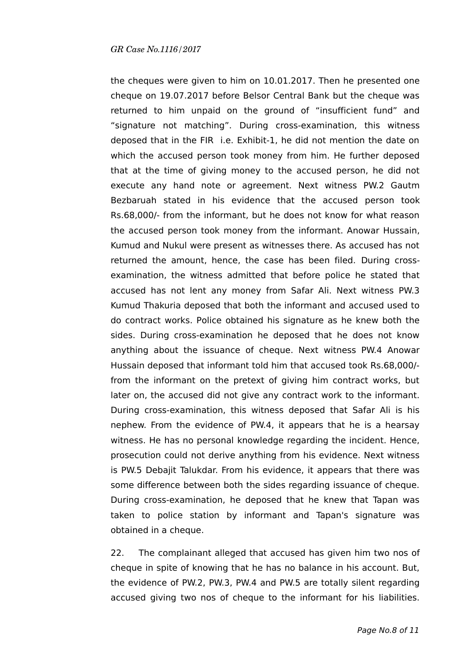the cheques were given to him on 10.01.2017. Then he presented one cheque on 19.07.2017 before Belsor Central Bank but the cheque was returned to him unpaid on the ground of "insufficient fund" and "signature not matching". During cross-examination, this witness deposed that in the FIR i.e. Exhibit-1, he did not mention the date on which the accused person took money from him. He further deposed that at the time of giving money to the accused person, he did not execute any hand note or agreement. Next witness PW.2 Gautm Bezbaruah stated in his evidence that the accused person took Rs.68,000/- from the informant, but he does not know for what reason the accused person took money from the informant. Anowar Hussain, Kumud and Nukul were present as witnesses there. As accused has not returned the amount, hence, the case has been filed. During crossexamination, the witness admitted that before police he stated that accused has not lent any money from Safar Ali. Next witness PW.3 Kumud Thakuria deposed that both the informant and accused used to do contract works. Police obtained his signature as he knew both the sides. During cross-examination he deposed that he does not know anything about the issuance of cheque. Next witness PW.4 Anowar Hussain deposed that informant told him that accused took Rs.68,000/ from the informant on the pretext of giving him contract works, but later on, the accused did not give any contract work to the informant. During cross-examination, this witness deposed that Safar Ali is his nephew. From the evidence of PW.4, it appears that he is a hearsay witness. He has no personal knowledge regarding the incident. Hence, prosecution could not derive anything from his evidence. Next witness is PW.5 Debajit Talukdar. From his evidence, it appears that there was some difference between both the sides regarding issuance of cheque. During cross-examination, he deposed that he knew that Tapan was taken to police station by informant and Tapan's signature was obtained in a cheque.

22. The complainant alleged that accused has given him two nos of cheque in spite of knowing that he has no balance in his account. But, the evidence of PW.2, PW.3, PW.4 and PW.5 are totally silent regarding accused giving two nos of cheque to the informant for his liabilities.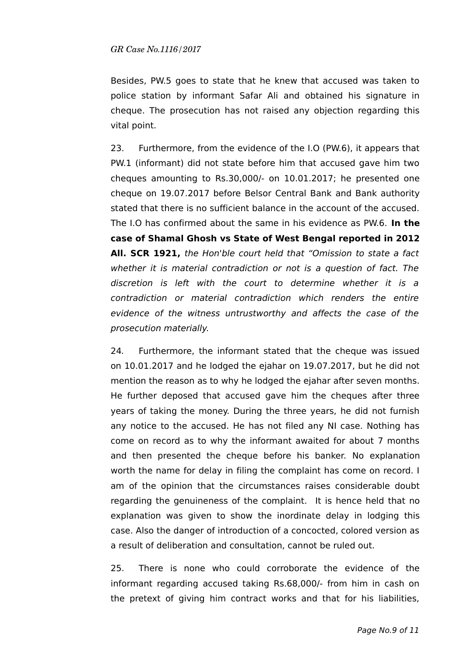Besides, PW.5 goes to state that he knew that accused was taken to police station by informant Safar Ali and obtained his signature in cheque. The prosecution has not raised any objection regarding this vital point.

23. Furthermore, from the evidence of the I.O (PW.6), it appears that PW.1 (informant) did not state before him that accused gave him two cheques amounting to Rs.30,000/- on 10.01.2017; he presented one cheque on 19.07.2017 before Belsor Central Bank and Bank authority stated that there is no sufficient balance in the account of the accused. The I.O has confirmed about the same in his evidence as PW.6. **In the case of Shamal Ghosh vs State of West Bengal reported in 2012 All. SCR 1921,** the Hon'ble court held that "Omission to state a fact whether it is material contradiction or not is a question of fact. The discretion is left with the court to determine whether it is a contradiction or material contradiction which renders the entire evidence of the witness untrustworthy and affects the case of the prosecution materially.

24. Furthermore, the informant stated that the cheque was issued on 10.01.2017 and he lodged the ejahar on 19.07.2017, but he did not mention the reason as to why he lodged the ejahar after seven months. He further deposed that accused gave him the cheques after three years of taking the money. During the three years, he did not furnish any notice to the accused. He has not filed any NI case. Nothing has come on record as to why the informant awaited for about 7 months and then presented the cheque before his banker. No explanation worth the name for delay in filing the complaint has come on record. I am of the opinion that the circumstances raises considerable doubt regarding the genuineness of the complaint. It is hence held that no explanation was given to show the inordinate delay in lodging this case. Also the danger of introduction of a concocted, colored version as a result of deliberation and consultation, cannot be ruled out.

25. There is none who could corroborate the evidence of the informant regarding accused taking Rs.68,000/- from him in cash on the pretext of giving him contract works and that for his liabilities,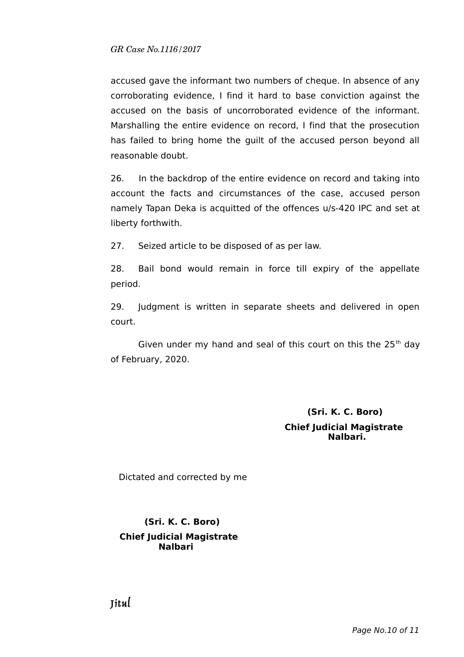accused gave the informant two numbers of cheque. In absence of any corroborating evidence, I find it hard to base conviction against the accused on the basis of uncorroborated evidence of the informant. Marshalling the entire evidence on record, I find that the prosecution has failed to bring home the guilt of the accused person beyond all reasonable doubt.

26. In the backdrop of the entire evidence on record and taking into account the facts and circumstances of the case, accused person namely Tapan Deka is acquitted of the offences u/s-420 IPC and set at liberty forthwith.

27. Seized article to be disposed of as per law.

28. Bail bond would remain in force till expiry of the appellate period.

29. Judgment is written in separate sheets and delivered in open court.

Given under my hand and seal of this court on this the  $25<sup>th</sup>$  day of February, 2020.

# **(Sri. K. C. Boro) Chief Judicial Magistrate Nalbari.**

Dictated and corrected by me

# **(Sri. K. C. Boro) Chief Judicial Magistrate Nalbari**

Jitul